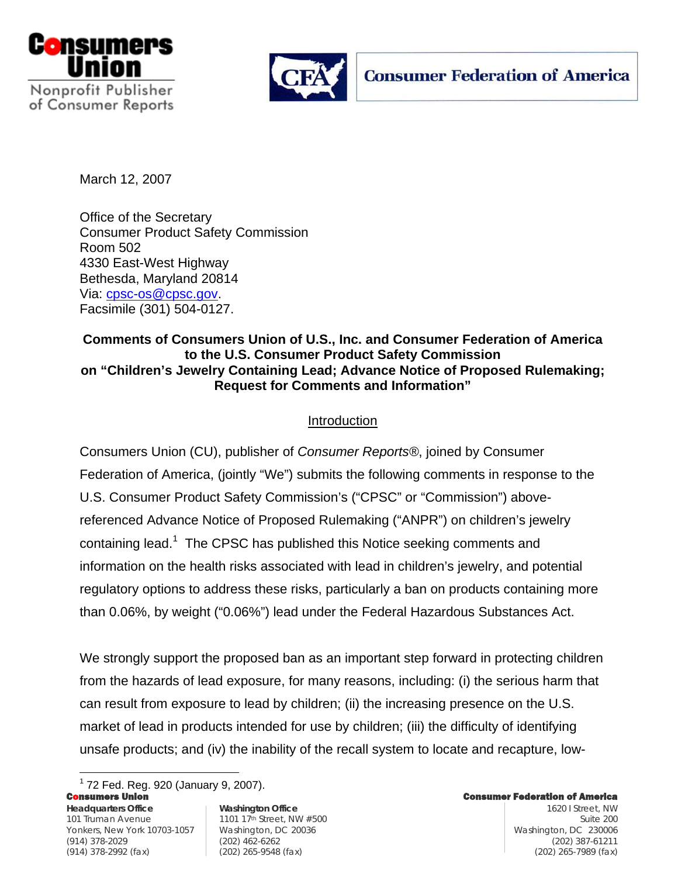



March 12, 2007

Office of the Secretary Consumer Product Safety Commission Room 502 4330 East-West Highway Bethesda, Maryland 20814 Via: cpsc-os@cpsc.gov. Facsimile (301) 504-0127.

## **Comments of Consumers Union of U.S., Inc. and Consumer Federation of America to the U.S. Consumer Product Safety Commission on "Children's Jewelry Containing Lead; Advance Notice of Proposed Rulemaking; Request for Comments and Information"**

## Introduction

Consumers Union (CU), publisher of *Consumer Reports®*, joined by Consumer Federation of America, (jointly "We") submits the following comments in response to the U.S. Consumer Product Safety Commission's ("CPSC" or "Commission") abovereferenced Advance Notice of Proposed Rulemaking ("ANPR") on children's jewelry containing lead.<sup>1</sup> The CPSC has published this Notice seeking comments and information on the health risks associated with lead in children's jewelry, and potential regulatory options to address these risks, particularly a ban on products containing more than 0.06%, by weight ("0.06%") lead under the Federal Hazardous Substances Act.

We strongly support the proposed ban as an important step forward in protecting children from the hazards of lead exposure, for many reasons, including: (i) the serious harm that can result from exposure to lead by children; (ii) the increasing presence on the U.S. market of lead in products intended for use by children; (iii) the difficulty of identifying unsafe products; and (iv) the inability of the recall system to locate and recapture, low-

Consumers Union Consumer Federation of America **Headquarters Office Washington Office** 1620 I Street, NW 101 Truman Avenue 1101 17th Street, NW #500 Yonkers, New York 10703-1057 | Washington, DC 20036 Washington, DC 230006 | Washington, DC 230006 <sup>1</sup> 72 Fed. Reg. 920 (January 9, 2007).

<u>.</u>

(914) 378-2029 (202) 462-6262 (202) 387-61211 (914) 378-2992 (fax) (202) 265-9548 (fax) (202) 265-7989 (fax)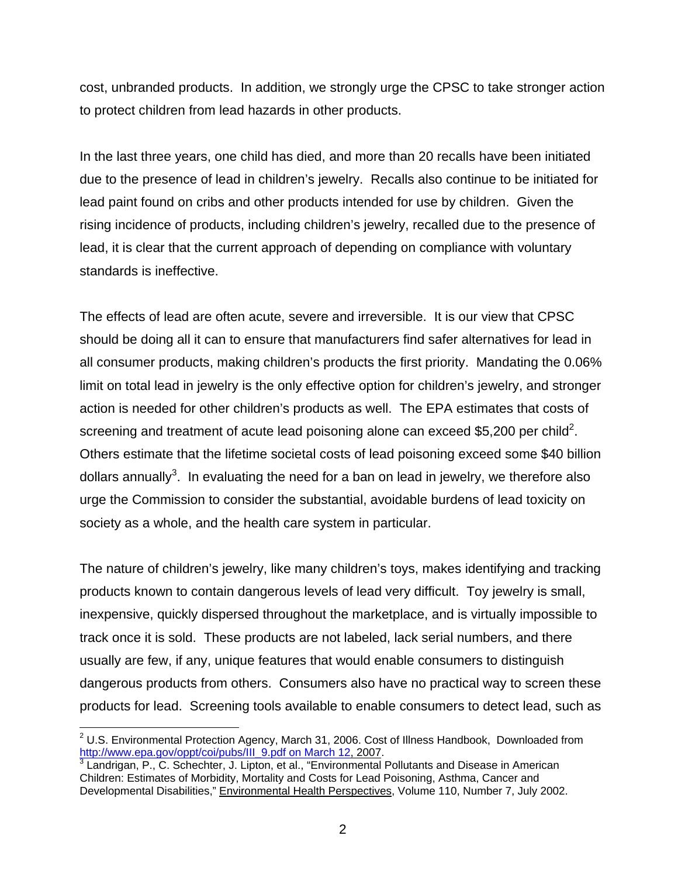cost, unbranded products. In addition, we strongly urge the CPSC to take stronger action to protect children from lead hazards in other products.

In the last three years, one child has died, and more than 20 recalls have been initiated due to the presence of lead in children's jewelry. Recalls also continue to be initiated for lead paint found on cribs and other products intended for use by children. Given the rising incidence of products, including children's jewelry, recalled due to the presence of lead, it is clear that the current approach of depending on compliance with voluntary standards is ineffective.

The effects of lead are often acute, severe and irreversible. It is our view that CPSC should be doing all it can to ensure that manufacturers find safer alternatives for lead in all consumer products, making children's products the first priority. Mandating the 0.06% limit on total lead in jewelry is the only effective option for children's jewelry, and stronger action is needed for other children's products as well. The EPA estimates that costs of screening and treatment of acute lead poisoning alone can exceed \$5,200 per child<sup>2</sup>. Others estimate that the lifetime societal costs of lead poisoning exceed some \$40 billion dollars annually<sup>3</sup>. In evaluating the need for a ban on lead in jewelry, we therefore also urge the Commission to consider the substantial, avoidable burdens of lead toxicity on society as a whole, and the health care system in particular.

The nature of children's jewelry, like many children's toys, makes identifying and tracking products known to contain dangerous levels of lead very difficult. Toy jewelry is small, inexpensive, quickly dispersed throughout the marketplace, and is virtually impossible to track once it is sold. These products are not labeled, lack serial numbers, and there usually are few, if any, unique features that would enable consumers to distinguish dangerous products from others. Consumers also have no practical way to screen these products for lead. Screening tools available to enable consumers to detect lead, such as

 $\overline{a}$  $2$  U.S. Environmental Protection Agency, March 31, 2006. Cost of Illness Handbook, Downloaded from http://www.epa.gov/oppt/coi/pubs/III\_9.pdf on March 12, 2007.

<sup>&</sup>lt;sup>3</sup> Landrigan, P., C. Schechter, J. Lipton, et al., "Environmental Pollutants and Disease in American Children: Estimates of Morbidity, Mortality and Costs for Lead Poisoning, Asthma, Cancer and Developmental Disabilities," Environmental Health Perspectives, Volume 110, Number 7, July 2002.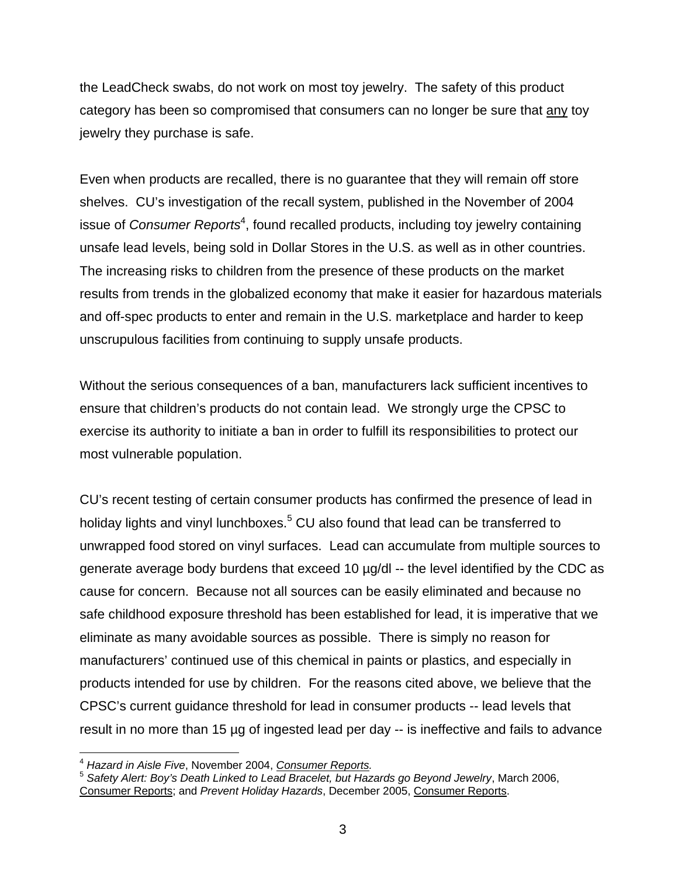the LeadCheck swabs, do not work on most toy jewelry. The safety of this product category has been so compromised that consumers can no longer be sure that any toy jewelry they purchase is safe.

Even when products are recalled, there is no guarantee that they will remain off store shelves. CU's investigation of the recall system, published in the November of 2004 issue of *Consumer Reports<sup>4</sup>*, found recalled products, including toy jewelry containing unsafe lead levels, being sold in Dollar Stores in the U.S. as well as in other countries. The increasing risks to children from the presence of these products on the market results from trends in the globalized economy that make it easier for hazardous materials and off-spec products to enter and remain in the U.S. marketplace and harder to keep unscrupulous facilities from continuing to supply unsafe products.

Without the serious consequences of a ban, manufacturers lack sufficient incentives to ensure that children's products do not contain lead. We strongly urge the CPSC to exercise its authority to initiate a ban in order to fulfill its responsibilities to protect our most vulnerable population.

CU's recent testing of certain consumer products has confirmed the presence of lead in holiday lights and vinyl lunchboxes.<sup>5</sup> CU also found that lead can be transferred to unwrapped food stored on vinyl surfaces.Lead can accumulate from multiple sources to generate average body burdens that exceed 10 µg/dl -- the level identified by the CDC as cause for concern. Because not all sources can be easily eliminated and because no safe childhood exposure threshold has been established for lead, it is imperative that we eliminate as many avoidable sources as possible. There is simply no reason for manufacturers' continued use of this chemical in paints or plastics, and especially in products intended for use by children. For the reasons cited above, we believe that the CPSC's current guidance threshold for lead in consumer products -- lead levels that result in no more than 15 µg of ingested lead per day -- is ineffective and fails to advance

<sup>1</sup> 

<sup>&</sup>lt;sup>4</sup> Hazard in Aisle Five, November 2004, <u>Consumer Reports</u>.<br><sup>5</sup> Safety Alert: Boy's Death Linked to Lead Bracelet, but Hazards go Beyond Jewelry, March 2006, Consumer Reports; and *Prevent Holiday Hazards*, December 2005, Consumer Reports.